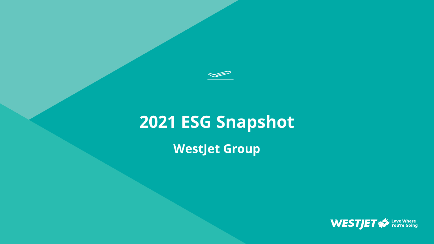

# **2021 ESG Snapshot**

**WestJet Group**

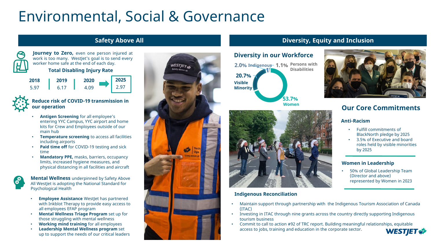## Environmental, Social & Governance



**Journey to Zero,** even one person injured at work is too many. WestJet's goal is to send every worker home safe at the end of each day.

**Total Disabling Injury Rate**

**2018 2019 2020** 5.97 6.17 4.09 **2025** 2.97



#### **Reduce risk of COVID-19 transmission in our operation**

- **Antigen Screening** for all employee's entering YYC Campus, YYC airport and home kits for Crew and Employees outside of our main hub
- **Temperature screening** to access all facilities including airports
- **Paid time off** for COVID-19 testing and sick time
- **Mandatory PPE,** masks, barriers, occupancy limits, increased hygiene measures, and physical distancing in all facilities and aircraft

**Mental Wellness** underpinned by Safety Above All WestJet is adopting the National Standard for Psychological Health

- **Employee Assistance** Westlet has partnered with Inkblot Therapy to provide easy access to all employees EFAP program
- **Mental Wellness Triage Program** set up for those struggling with mental wellness
- **Working mind training** for all employees
- **Leadership Mental Wellness program** set up to support the needs of our critical leaders



### **Safety Above All Diversity, Equity and Inclusion**

## **Diversity in our Workforce**

**53.7% 20.7% 2.0% Indigenous 1.1%** Persons with **Women Visible Minority Disabilities**



#### **Indigenous Reconciliation**

- Maintain support through partnership with the Indigenous Tourism Association of Canada (ITAC)
- Investing in ITAC through nine grants across the country directly supporting Indigenous tourism business
- Commit to call to action #92 of TRC report. Building meaningful relationships, equitable access to jobs, training and education in the corporate sector. **WESTIET**



## **Our Core Commitments**

#### **Anti-Racism**

- Fulfill commitments of BlackNorth pledge by 2025
- 3.5% of Executive and board roles held by visible minorities by 2025

#### **Women in Leadership**

• 50% of Global Leadership Team (Director and above) represented by Women in 2023